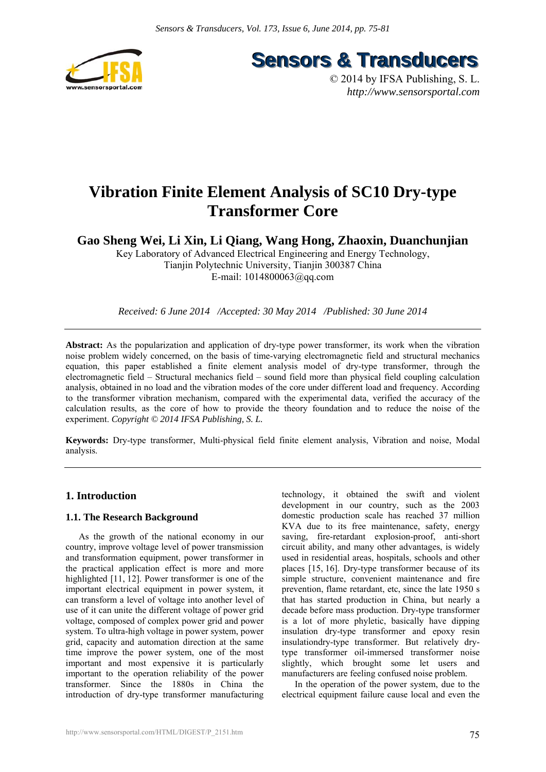

**Sensors & Transducers** 

© 2014 by IFSA Publishing, S. L. *http://www.sensorsportal.com*

# **Vibration Finite Element Analysis of SC10 Dry-type Transformer Core**

**Gao Sheng Wei, Li Xin, Li Qiang, Wang Hong, Zhaoxin, Duanchunjian** 

Key Laboratory of Advanced Electrical Engineering and Energy Technology, Tianjin Polytechnic University, Tianjin 300387 China E-mail: 1014800063@qq.com

*Received: 6 June 2014 /Accepted: 30 May 2014 /Published: 30 June 2014* 

**Abstract:** As the popularization and application of dry-type power transformer, its work when the vibration noise problem widely concerned, on the basis of time-varying electromagnetic field and structural mechanics equation, this paper established a finite element analysis model of dry-type transformer, through the electromagnetic field – Structural mechanics field – sound field more than physical field coupling calculation analysis, obtained in no load and the vibration modes of the core under different load and frequency. According to the transformer vibration mechanism, compared with the experimental data, verified the accuracy of the calculation results, as the core of how to provide the theory foundation and to reduce the noise of the experiment. *Copyright © 2014 IFSA Publishing, S. L.*

**Keywords:** Dry-type transformer, Multi-physical field finite element analysis, Vibration and noise, Modal analysis.

# **1. Introduction**

## **1.1. The Research Background**

As the growth of the national economy in our country, improve voltage level of power transmission and transformation equipment, power transformer in the practical application effect is more and more highlighted [11, 12]. Power transformer is one of the important electrical equipment in power system, it can transform a level of voltage into another level of use of it can unite the different voltage of power grid voltage, composed of complex power grid and power system. To ultra-high voltage in power system, power grid, capacity and automation direction at the same time improve the power system, one of the most important and most expensive it is particularly important to the operation reliability of the power transformer. Since the 1880s in China the introduction of dry-type transformer manufacturing

technology, it obtained the swift and violent development in our country, such as the 2003 domestic production scale has reached 37 million KVA due to its free maintenance, safety, energy saving, fire-retardant explosion-proof, anti-short circuit ability, and many other advantages, is widely used in residential areas, hospitals, schools and other places [15, 16]. Dry-type transformer because of its simple structure, convenient maintenance and fire prevention, flame retardant, etc, since the late 1950 s that has started production in China, but nearly a decade before mass production. Dry-type transformer is a lot of more phyletic, basically have dipping insulation dry-type transformer and epoxy resin insulationdry-type transformer. But relatively drytype transformer oil-immersed transformer noise slightly, which brought some let users and manufacturers are feeling confused noise problem.

In the operation of the power system, due to the electrical equipment failure cause local and even the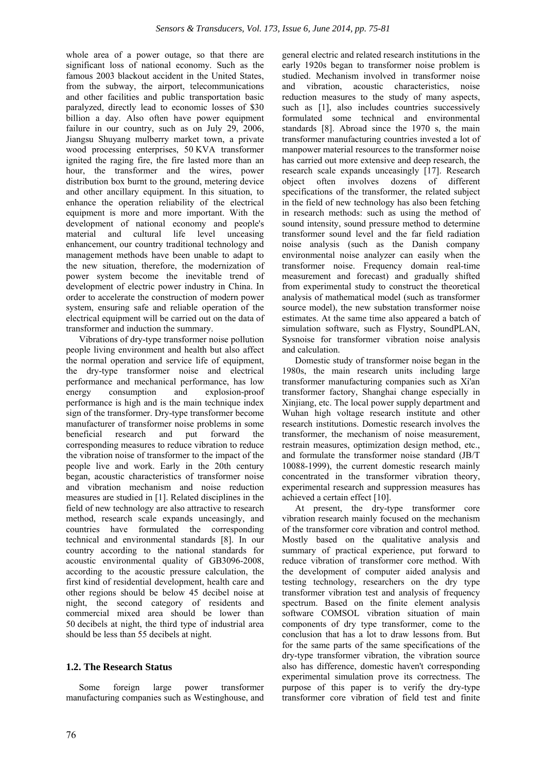whole area of a power outage, so that there are significant loss of national economy. Such as the famous 2003 blackout accident in the United States, from the subway, the airport, telecommunications and other facilities and public transportation basic paralyzed, directly lead to economic losses of \$30 billion a day. Also often have power equipment failure in our country, such as on July 29, 2006. Jiangsu Shuyang mulberry market town, a private wood processing enterprises, 50 KVA transformer ignited the raging fire, the fire lasted more than an hour, the transformer and the wires, power distribution box burnt to the ground, metering device and other ancillary equipment. In this situation, to enhance the operation reliability of the electrical equipment is more and more important. With the development of national economy and people's material and cultural life level unceasing enhancement, our country traditional technology and management methods have been unable to adapt to the new situation, therefore, the modernization of power system become the inevitable trend of development of electric power industry in China. In order to accelerate the construction of modern power system, ensuring safe and reliable operation of the electrical equipment will be carried out on the data of transformer and induction the summary.

Vibrations of dry-type transformer noise pollution people living environment and health but also affect the normal operation and service life of equipment, the dry-type transformer noise and electrical performance and mechanical performance, has low energy consumption and explosion-proof performance is high and is the main technique index sign of the transformer. Dry-type transformer become manufacturer of transformer noise problems in some beneficial research and put forward the corresponding measures to reduce vibration to reduce the vibration noise of transformer to the impact of the people live and work. Early in the 20th century began, acoustic characteristics of transformer noise and vibration mechanism and noise reduction measures are studied in [1]. Related disciplines in the field of new technology are also attractive to research method, research scale expands unceasingly, and countries have formulated the corresponding technical and environmental standards [8]. In our country according to the national standards for acoustic environmental quality of GB3096-2008, according to the acoustic pressure calculation, the first kind of residential development, health care and other regions should be below 45 decibel noise at night, the second category of residents and commercial mixed area should be lower than 50 decibels at night, the third type of industrial area should be less than 55 decibels at night.

# **1.2. The Research Status**

Some foreign large power transformer manufacturing companies such as Westinghouse, and general electric and related research institutions in the early 1920s began to transformer noise problem is studied. Mechanism involved in transformer noise and vibration, acoustic characteristics, noise reduction measures to the study of many aspects, such as [1], also includes countries successively formulated some technical and environmental standards [8]. Abroad since the 1970 s, the main transformer manufacturing countries invested a lot of manpower material resources to the transformer noise has carried out more extensive and deep research, the research scale expands unceasingly [17]. Research object often involves dozens of different specifications of the transformer, the related subject in the field of new technology has also been fetching in research methods: such as using the method of sound intensity, sound pressure method to determine transformer sound level and the far field radiation noise analysis (such as the Danish company environmental noise analyzer can easily when the transformer noise. Frequency domain real-time measurement and forecast) and gradually shifted from experimental study to construct the theoretical analysis of mathematical model (such as transformer source model), the new substation transformer noise estimates. At the same time also appeared a batch of simulation software, such as Flystry, SoundPLAN, Sysnoise for transformer vibration noise analysis and calculation.

Domestic study of transformer noise began in the 1980s, the main research units including large transformer manufacturing companies such as Xi'an transformer factory, Shanghai change especially in Xinjiang, etc. The local power supply department and Wuhan high voltage research institute and other research institutions. Domestic research involves the transformer, the mechanism of noise measurement, restrain measures, optimization design method, etc., and formulate the transformer noise standard (JB/T 10088-1999), the current domestic research mainly concentrated in the transformer vibration theory, experimental research and suppression measures has achieved a certain effect [10].

At present, the dry-type transformer core vibration research mainly focused on the mechanism of the transformer core vibration and control method. Mostly based on the qualitative analysis and summary of practical experience, put forward to reduce vibration of transformer core method. With the development of computer aided analysis and testing technology, researchers on the dry type transformer vibration test and analysis of frequency spectrum. Based on the finite element analysis software COMSOL vibration situation of main components of dry type transformer, come to the conclusion that has a lot to draw lessons from. But for the same parts of the same specifications of the dry-type transformer vibration, the vibration source also has difference, domestic haven't corresponding experimental simulation prove its correctness. The purpose of this paper is to verify the dry-type transformer core vibration of field test and finite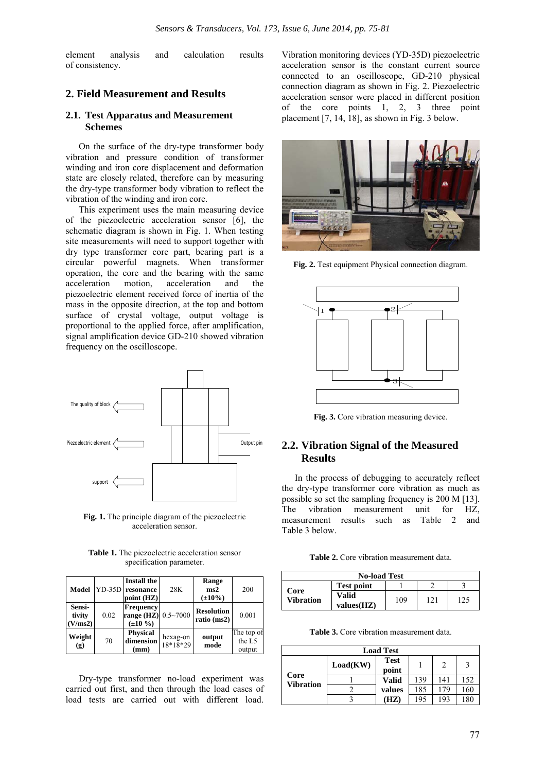element analysis and calculation results of consistency.

## **2. Field Measurement and Results**

#### **2.1. Test Apparatus and Measurement Schemes**

On the surface of the dry-type transformer body vibration and pressure condition of transformer winding and iron core displacement and deformation state are closely related, therefore can by measuring the dry-type transformer body vibration to reflect the vibration of the winding and iron core.

This experiment uses the main measuring device of the piezoelectric acceleration sensor [6], the schematic diagram is shown in Fig. 1. When testing site measurements will need to support together with dry type transformer core part, bearing part is a circular powerful magnets. When transformer operation, the core and the bearing with the same acceleration motion, acceleration and the piezoelectric element received force of inertia of the mass in the opposite direction, at the top and bottom surface of crystal voltage, output voltage is proportional to the applied force, after amplification, signal amplification device GD-210 showed vibration frequency on the oscilloscope.



**Fig. 1.** The principle diagram of the piezoelectric acceleration sensor.

**Table 1.** The piezoelectric acceleration sensor specification parameter.

| Model                       |      | <b>Install the</b><br>YD-35D resonance<br>point (HZ)            | 28K                    | Range<br>ms2<br>$(\pm 10\%)$     | 200                            |
|-----------------------------|------|-----------------------------------------------------------------|------------------------|----------------------------------|--------------------------------|
| Sensi-<br>tivity<br>(V/ms2) | 0.02 | <b>Frequency</b><br><b>range (HZ)</b> 0.5~7000<br>$(\pm 10\% )$ |                        | <b>Resolution</b><br>ratio (ms2) | 0.001                          |
| Weight<br>(g)               | 70   | <b>Physical</b><br>dimension<br>(mm)                            | hexag-on<br>$18*18*29$ | output<br>mode                   | The top of<br>the L5<br>output |

Dry-type transformer no-load experiment was carried out first, and then through the load cases of load tests are carried out with different load.

Vibration monitoring devices (YD-35D) piezoelectric acceleration sensor is the constant current source connected to an oscilloscope, GD-210 physical connection diagram as shown in Fig. 2. Piezoelectric acceleration sensor were placed in different position of the core points 1, 2, 3 three point placement [7, 14, 18], as shown in Fig. 3 below.



**Fig. 2.** Test equipment Physical connection diagram.



Fig. 3. Core vibration measuring device.

# **2.2. Vibration Signal of the Measured Results**

In the process of debugging to accurately reflect the dry-type transformer core vibration as much as possible so set the sampling frequency is 200 M [13]. The vibration measurement unit for HZ, measurement results such as Table 2 and Table 3 below.

**Table 2.** Core vibration measurement data.

| <b>No-load Test</b>      |                     |     |     |     |  |
|--------------------------|---------------------|-----|-----|-----|--|
|                          | <b>Test point</b>   |     |     |     |  |
| Core<br><b>Vibration</b> | Valid<br>values(HZ) | 109 | 121 | 125 |  |

Table 3. Core vibration measurement data.

| <b>Load Test</b>         |          |                      |     |     |     |  |
|--------------------------|----------|----------------------|-----|-----|-----|--|
|                          | Load(KW) | <b>Test</b><br>point |     |     | 3   |  |
| Core<br><b>Vibration</b> |          | Valid                | 139 | 141 | 152 |  |
|                          |          | values               | 185 | 179 | 160 |  |
|                          |          | (HZ)                 | 195 | 193 | 180 |  |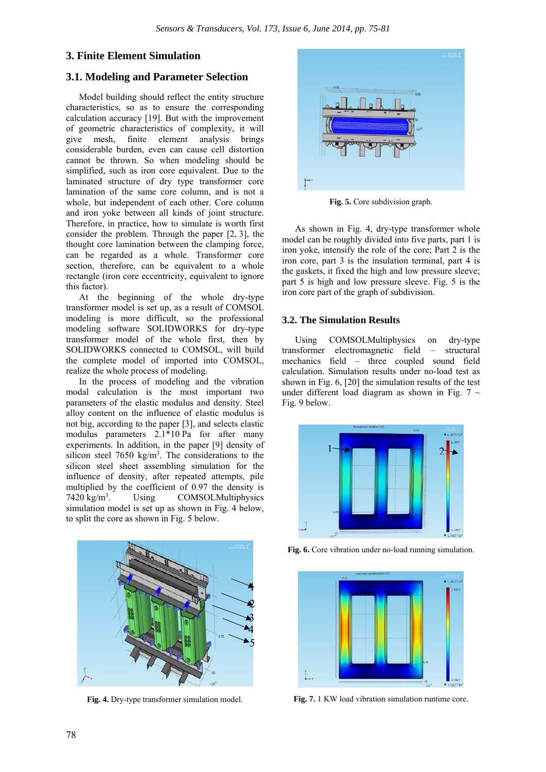# **3. Finite Element Simulation**

# **3.1. Modeling and Parameter Selection**

Model building should reflect the entity structure characteristics, so as to ensure the corresponding calculation accuracy [19]. But with the improvement of geometric characteristics of complexity, it will give mesh, finite element analysis brings considerable burden, even can cause cell distortion cannot be thrown. So when modeling should be simplified, such as iron core equivalent. Due to the laminated structure of dry type transformer core lamination of the same core column, and is not a whole, but independent of each other. Core column and iron yoke between all kinds of joint structure. Therefore, in practice, how to simulate is worth first consider the problem. Through the paper [2, 3], the thought core lamination between the clamping force, can be regarded as a whole. Transformer core section, therefore, can be equivalent to a whole rectangle (iron core eccentricity, equivalent to ignore this factor).

At the beginning of the whole dry-type transformer model is set up, as a result of COMSOL modeling is more difficult, so the professional modeling software SOLIDWORKS for dry-type transformer model of the whole first, then by SOLIDWORKS connected to COMSOL, will build the complete model of imported into COMSOL, realize the whole process of modeling.

In the process of modeling and the vibration modal calculation is the most important two parameters of the elastic modulus and density. Steel alloy content on the influence of elastic modulus is not big, according to the paper [3], and selects elastic modulus parameters 2.1\*10 Pa for after many experiments. In addition, in the paper [9] density of silicon steel  $7650 \text{ kg/m}^3$ . The considerations to the silicon steel sheet assembling simulation for the influence of density, after repeated attempts, pile multiplied by the coefficient of 0.97 the density is 7420 kg/m<sup>3</sup>. Using COMSOLMultiphysics simulation model is set up as shown in Fig. 4 below, to split the core as shown in Fig. 5 below.



**Fig. 4.** Dry-type transformer simulation model.



**Fig. 5.** Core subdivision graph.

As shown in Fig. 4, dry-type transformer whole model can be roughly divided into five parts, part 1 is iron yoke, intensify the role of the core; Part 2 is the iron core, part 3 is the insulation terminal, part 4 is the gaskets, it fixed the high and low pressure sleeve; part 5 is high and low pressure sleeve. Fig. 5 is the iron core part of the graph of subdivision.

# **3.2. The Simulation Results**

Using COMSOLMultiphysics on dry-type transformer electromagnetic field – structural mechanics field – three coupled sound field calculation. Simulation results under no-load test as shown in Fig. 6, [20] the simulation results of the test under different load diagram as shown in Fig.  $7 \sim$ Fig. 9 below.



Fig. 6. Core vibration under no-load running simulation.



**Fig. 7.** 1 KW load vibration simulation runtime core.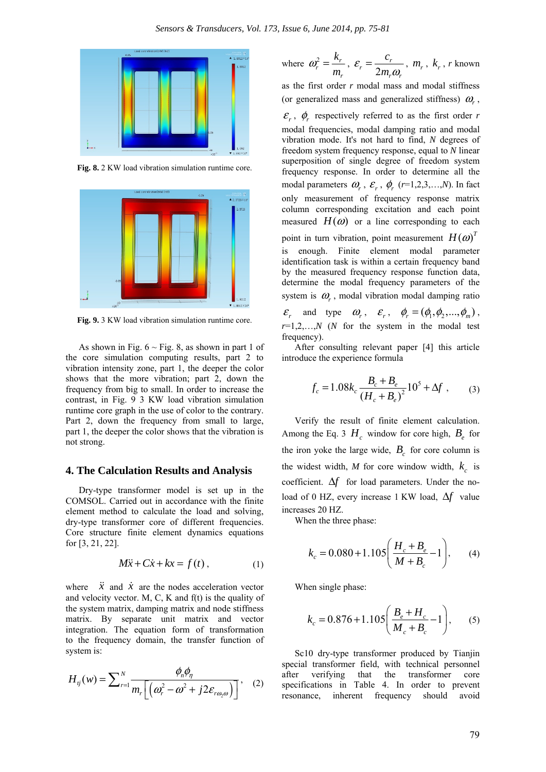

**Fig. 8.** 2 KW load vibration simulation runtime core.



**Fig. 9.** 3 KW load vibration simulation runtime core.

As shown in Fig.  $6 \sim$  Fig. 8, as shown in part 1 of the core simulation computing results, part 2 to vibration intensity zone, part 1, the deeper the color shows that the more vibration; part 2, down the frequency from big to small. In order to increase the contrast, in Fig. 9 3 KW load vibration simulation runtime core graph in the use of color to the contrary. Part 2, down the frequency from small to large, part 1, the deeper the color shows that the vibration is not strong.

#### **4. The Calculation Results and Analysis**

Dry-type transformer model is set up in the COMSOL. Carried out in accordance with the finite element method to calculate the load and solving, dry-type transformer core of different frequencies. Core structure finite element dynamics equations for [3, 21, 22].

$$
M\ddot{x} + C\dot{x} + kx = f(t), \qquad (1)
$$

where  $\ddot{x}$  and  $\dot{x}$  are the nodes acceleration vector and velocity vector. M, C, K and  $f(t)$  is the quality of the system matrix, damping matrix and node stiffness matrix. By separate unit matrix and vector integration. The equation form of transformation to the frequency domain, the transfer function of system is:

$$
H_{ij}(w) = \sum_{r=1}^{N} \frac{\phi_n \phi_n}{m_r \left[ \left( \omega_r^2 - \omega^2 + j2 \varepsilon_{r\omega_2 \omega} \right) \right]}, \quad (2)
$$

where 
$$
\omega_r^2 = \frac{k_r}{m_r}
$$
,  $\varepsilon_r = \frac{c_r}{2m_r\omega_r}$ ,  $m_r$ ,  $k_r$ , r known

as the first order *r* modal mass and modal stiffness (or generalized mass and generalized stiffness)  $\omega_r$ ,  $\varepsilon_r$ ,  $\phi_r$  respectively referred to as the first order *r* modal frequencies, modal damping ratio and modal vibration mode. It's not hard to find, *N* degrees of freedom system frequency response, equal to *N* linear superposition of single degree of freedom system frequency response. In order to determine all the modal parameters  $\omega_r$ ,  $\varepsilon_r$ ,  $\phi_r$  ( $r=1,2,3,...,N$ ). In fact only measurement of frequency response matrix column corresponding excitation and each point measured  $H(\omega)$  or a line corresponding to each point in turn vibration, point measurement  $H(\omega)^T$ is enough. Finite element modal parameter identification task is within a certain frequency band by the measured frequency response function data, determine the modal frequency parameters of the system is  $\omega$ , modal vibration modal damping ratio  $\mathcal{E}_r$  and type  $\omega_r$ ,  $\mathcal{E}_r$ ,  $\phi_r = (\phi_1, \phi_2, ..., \phi_m)$ ,  $r=1,2,...,N$  (*N* for the system in the modal test frequency).

After consulting relevant paper [4] this article introduce the experience formula

$$
f_c = 1.08k_c \frac{B_c + B_e}{(H_c + B_e)^2} 10^5 + \Delta f , \qquad (3)
$$

Verify the result of finite element calculation. Among the Eq. 3  $H_c$  window for core high,  $B_c$  for the iron yoke the large wide,  $B_c$  for core column is the widest width, *M* for core window width,  $k_c$  is coefficient. Δ*f* for load parameters. Under the noload of 0 HZ, every increase 1 KW load, Δ*f* value increases 20 HZ.

When the three phase:

$$
k_c = 0.080 + 1.105 \left( \frac{H_c + B_e}{M + B_c} - 1 \right), \qquad (4)
$$

When single phase:

$$
k_c = 0.876 + 1.105 \left( \frac{B_e + H_c}{M_c + B_c} - 1 \right), \qquad (5)
$$

Sc10 dry-type transformer produced by Tianjin special transformer field, with technical personnel after verifying that the transformer core specifications in Table 4. In order to prevent resonance, inherent frequency should avoid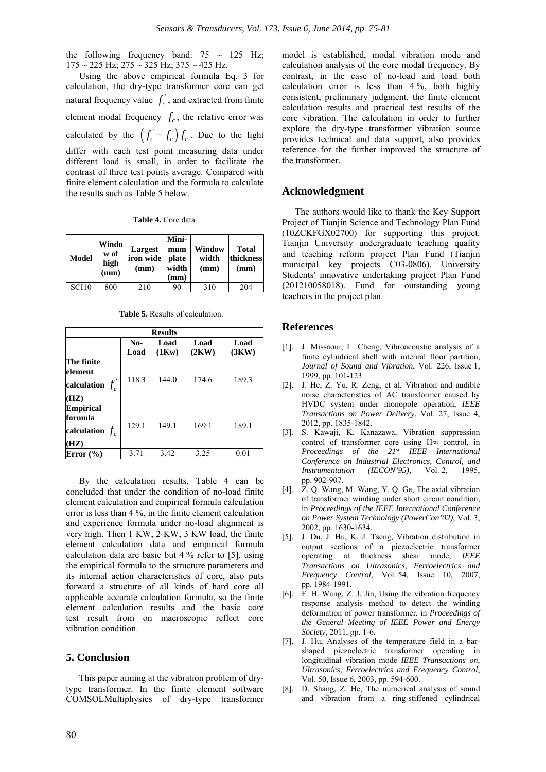the following frequency band:  $75 \sim 125$  Hz; 175 ~ 225 Hz; 275 ~ 325 Hz; 375 ~ 425 Hz.

Using the above empirical formula Eq. 3 for calculation, the dry-type transformer core can get natural frequency value  $f_c^{\prime}$ , and extracted from finite element modal frequency  $f_c$ , the relative error was calculated by the  $(f_c - f_c) f_c$ . Due to the light differ with each test point measuring data under different load is small, in order to facilitate the contrast of three test points average. Compared with finite element calculation and the formula to calculate the results such as Table 5 below.

**Table 4.** Core data.

| <b>Model</b> | Windo<br>w of<br>high<br>(mm) | Largest<br>iron wide<br>(mm) | Mini-<br>mum<br>plate<br>width<br>(mm) | Window<br>width<br>(mm) | <b>Total</b><br>thickness<br>(mm) |
|--------------|-------------------------------|------------------------------|----------------------------------------|-------------------------|-----------------------------------|
| <b>SCH0</b>  | 800                           | 210                          | 90                                     | 310                     | 204                               |

**Table 5.** Results of calculation.

| <b>Results</b>                                           |             |               |               |               |  |  |
|----------------------------------------------------------|-------------|---------------|---------------|---------------|--|--|
|                                                          | No-<br>Load | Load<br>(1Kw) | Load<br>(2KW) | Load<br>(3KW) |  |  |
| The finite<br>element<br>calculation $f_c$<br>(HZ)       | 118.3       | 144.0         | 174.6         | 189.3         |  |  |
| <b>Empirical</b><br>formula<br>calculation $f_c$<br>(HZ) | 129.1       | 149.1         | 169.1         | 189.1         |  |  |
| Error $(\% )$                                            | 3.71        | 3.42          | 3.25          | 0.01          |  |  |

By the calculation results, Table 4 can be concluded that under the condition of no-load finite element calculation and empirical formula calculation error is less than 4 %, in the finite element calculation and experience formula under no-load alignment is very high. Then 1 KW, 2 KW, 3 KW load, the finite element calculation data and empirical formula calculation data are basic but 4 % refer to [5], using the empirical formula to the structure parameters and its internal action characteristics of core, also puts forward a structure of all kinds of hard core all applicable accurate calculation formula, so the finite element calculation results and the basic core test result from on macroscopic reflect core vibration condition.

## **5. Conclusion**

This paper aiming at the vibration problem of drytype transformer. In the finite element software COMSOLMultiphysics of dry-type transformer model is established, modal vibration mode and calculation analysis of the core modal frequency. By contrast, in the case of no-load and load both calculation error is less than 4 %, both highly consistent, preliminary judgment, the finite element calculation results and practical test results of the core vibration. The calculation in order to further explore the dry-type transformer vibration source provides technical and data support, also provides reference for the further improved the structure of the transformer.

## **Acknowledgment**

The authors would like to thank the Key Support Project of Tianjin Science and Technology Plan Fund (10ZCKFGX02700) for supporting this project. Tianjin University undergraduate teaching quality and teaching reform project Plan Fund (Tianjin municipal key projects C03-0806). University Students' innovative undertaking project Plan Fund (201210058018). Fund for outstanding young teachers in the project plan.

#### **References**

- [1]. J. Missaoui, L. Cheng, Vibroacoustic analysis of a finite cylindrical shell with internal floor partition, *Journal of Sound and Vibration*, Vol. 226, Issue 1, 1999, pp. 101-123.
- [2]. J. He, Z. Yu, R. Zeng, et al, Vibration and audible noise characteristics of AC transformer caused by HVDC system under monopole operation, *IEEE Transactions on Power Delivery*, Vol. 27, Issue 4, 2012, pp. 1835-1842.
- [3]. S. Kawaji, K. Kanazawa, Vibration suppression control of transformer core using H∞ control, in *Proceedings of the 21st IEEE International Conference on Industrial Electronics, Control, and Instrumentation (IECON'95)*, Vol. 2, 1995, pp. 902-907.
- [4]. Z. Q. Wang, M. Wang, Y. Q. Ge, The axial vibration of transformer winding under short circuit condition, in *Proceedings of the IEEE International Conference on Power System Technology (PowerCon'02)*, Vol. 3, 2002, pp. 1630-1634.
- [5]. J. Du, J. Hu, K. J. Tseng, Vibration distribution in output sections of a piezoelectric transformer operating at thickness shear mode, *IEEE Transactions on Ultrasonics, Ferroelectrics and Frequency Control*, Vol. 54, Issue 10, 2007, pp. 1984-1991.
- [6]. F. H. Wang, Z. J. Jin, Using the vibration frequency response analysis method to detect the winding deformation of power transformer, in *Proceedings of the General Meeting of IEEE Power and Energy Society*, 2011, pp. 1-6.
- [7]. J. Hu, Analyses of the temperature field in a barshaped piezoelectric transformer operating in longitudinal vibration mode *IEEE Transactions on, Ultrasonics, Ferroelectrics and Frequency Control*, Vol. 50, Issue 6, 2003, pp. 594-600.
- [8]. D. Shang, Z. He, The numerical analysis of sound and vibration from a ring-stiffened cylindrical